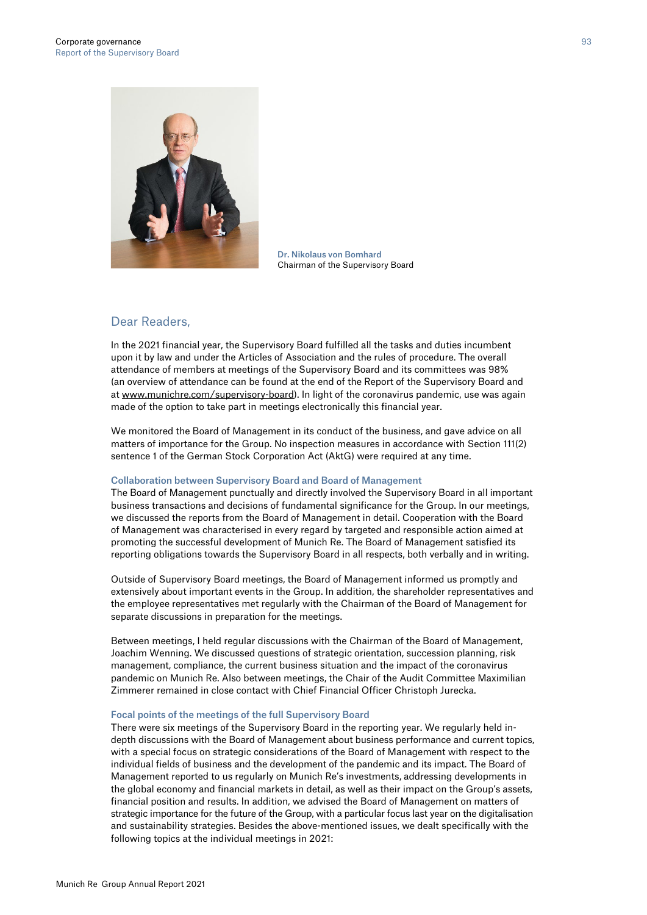

Dr. Nikolaus von Bomhard Chairman of the Supervisory Board

# Dear Readers,

In the 2021 financial year, the Supervisory Board fulfilled all the tasks and duties incumbent upon it by law and under the Articles of Association and the rules of procedure. The overall attendance of members at meetings of the Supervisory Board and its committees was 98% (an overview of attendance can be found at the end of the Report of the Supervisory Board and at www.munichre.com/supervisory-board). In light of the coronavirus pandemic, use was again made of the option to take part in meetings electronically this financial year.

We monitored the Board of Management in its conduct of the business, and gave advice on all matters of importance for the Group. No inspection measures in accordance with Section 111(2) sentence 1 of the German Stock Corporation Act (AktG) were required at any time.

# Collaboration between Supervisory Board and Board of Management

The Board of Management punctually and directly involved the Supervisory Board in all important business transactions and decisions of fundamental significance for the Group. In our meetings, we discussed the reports from the Board of Management in detail. Cooperation with the Board of Management was characterised in every regard by targeted and responsible action aimed at promoting the successful development of Munich Re. The Board of Management satisfied its reporting obligations towards the Supervisory Board in all respects, both verbally and in writing.

Outside of Supervisory Board meetings, the Board of Management informed us promptly and extensively about important events in the Group. In addition, the shareholder representatives and the employee representatives met regularly with the Chairman of the Board of Management for separate discussions in preparation for the meetings.

Between meetings, I held regular discussions with the Chairman of the Board of Management, Joachim Wenning. We discussed questions of strategic orientation, succession planning, risk management, compliance, the current business situation and the impact of the coronavirus pandemic on Munich Re. Also between meetings, the Chair of the Audit Committee Maximilian Zimmerer remained in close contact with Chief Financial Officer Christoph Jurecka.

#### Focal points of the meetings of the full Supervisory Board

There were six meetings of the Supervisory Board in the reporting year. We regularly held indepth discussions with the Board of Management about business performance and current topics, with a special focus on strategic considerations of the Board of Management with respect to the individual fields of business and the development of the pandemic and its impact. The Board of Management reported to us regularly on Munich Re's investments, addressing developments in the global economy and financial markets in detail, as well as their impact on the Group's assets, financial position and results. In addition, we advised the Board of Management on matters of strategic importance for the future of the Group, with a particular focus last year on the digitalisation and sustainability strategies. Besides the above-mentioned issues, we dealt specifically with the following topics at the individual meetings in 2021: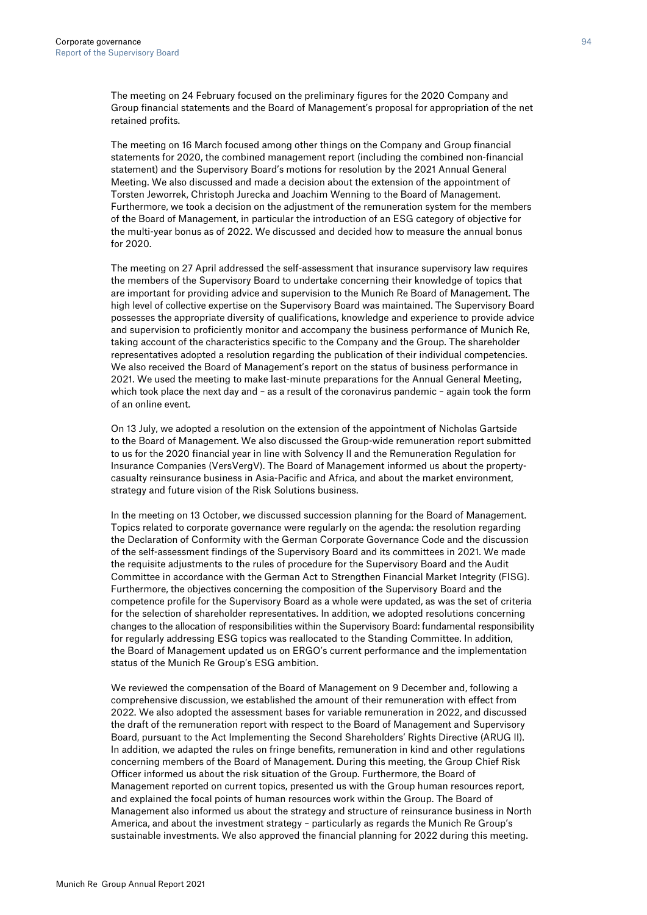The meeting on 24 February focused on the preliminary figures for the 2020 Company and Group financial statements and the Board of Management's proposal for appropriation of the net retained profits.

The meeting on 16 March focused among other things on the Company and Group financial statements for 2020, the combined management report (including the combined non-financial statement) and the Supervisory Board's motions for resolution by the 2021 Annual General Meeting. We also discussed and made a decision about the extension of the appointment of Torsten Jeworrek, Christoph Jurecka and Joachim Wenning to the Board of Management. Furthermore, we took a decision on the adjustment of the remuneration system for the members of the Board of Management, in particular the introduction of an ESG category of objective for the multi-year bonus as of 2022. We discussed and decided how to measure the annual bonus for 2020.

The meeting on 27 April addressed the self-assessment that insurance supervisory law requires the members of the Supervisory Board to undertake concerning their knowledge of topics that are important for providing advice and supervision to the Munich Re Board of Management. The high level of collective expertise on the Supervisory Board was maintained. The Supervisory Board possesses the appropriate diversity of qualifications, knowledge and experience to provide advice and supervision to proficiently monitor and accompany the business performance of Munich Re, taking account of the characteristics specific to the Company and the Group. The shareholder representatives adopted a resolution regarding the publication of their individual competencies. We also received the Board of Management's report on the status of business performance in 2021. We used the meeting to make last-minute preparations for the Annual General Meeting, which took place the next day and – as a result of the coronavirus pandemic – again took the form of an online event.

On 13 July, we adopted a resolution on the extension of the appointment of Nicholas Gartside to the Board of Management. We also discussed the Group-wide remuneration report submitted to us for the 2020 financial year in line with Solvency II and the Remuneration Regulation for Insurance Companies (VersVergV). The Board of Management informed us about the propertycasualty reinsurance business in Asia-Pacific and Africa, and about the market environment, strategy and future vision of the Risk Solutions business.

In the meeting on 13 October, we discussed succession planning for the Board of Management. Topics related to corporate governance were regularly on the agenda: the resolution regarding the Declaration of Conformity with the German Corporate Governance Code and the discussion of the self-assessment findings of the Supervisory Board and its committees in 2021. We made the requisite adjustments to the rules of procedure for the Supervisory Board and the Audit Committee in accordance with the German Act to Strengthen Financial Market Integrity (FISG). Furthermore, the objectives concerning the composition of the Supervisory Board and the competence profile for the Supervisory Board as a whole were updated, as was the set of criteria for the selection of shareholder representatives. In addition, we adopted resolutions concerning changes to the allocation of responsibilities within the Supervisory Board: fundamental responsibility for regularly addressing ESG topics was reallocated to the Standing Committee. In addition, the Board of Management updated us on ERGO's current performance and the implementation status of the Munich Re Group's ESG ambition.

We reviewed the compensation of the Board of Management on 9 December and, following a comprehensive discussion, we established the amount of their remuneration with effect from 2022. We also adopted the assessment bases for variable remuneration in 2022, and discussed the draft of the remuneration report with respect to the Board of Management and Supervisory Board, pursuant to the Act Implementing the Second Shareholders' Rights Directive (ARUG II). In addition, we adapted the rules on fringe benefits, remuneration in kind and other regulations concerning members of the Board of Management. During this meeting, the Group Chief Risk Officer informed us about the risk situation of the Group. Furthermore, the Board of Management reported on current topics, presented us with the Group human resources report, and explained the focal points of human resources work within the Group. The Board of Management also informed us about the strategy and structure of reinsurance business in North America, and about the investment strategy – particularly as regards the Munich Re Group's sustainable investments. We also approved the financial planning for 2022 during this meeting.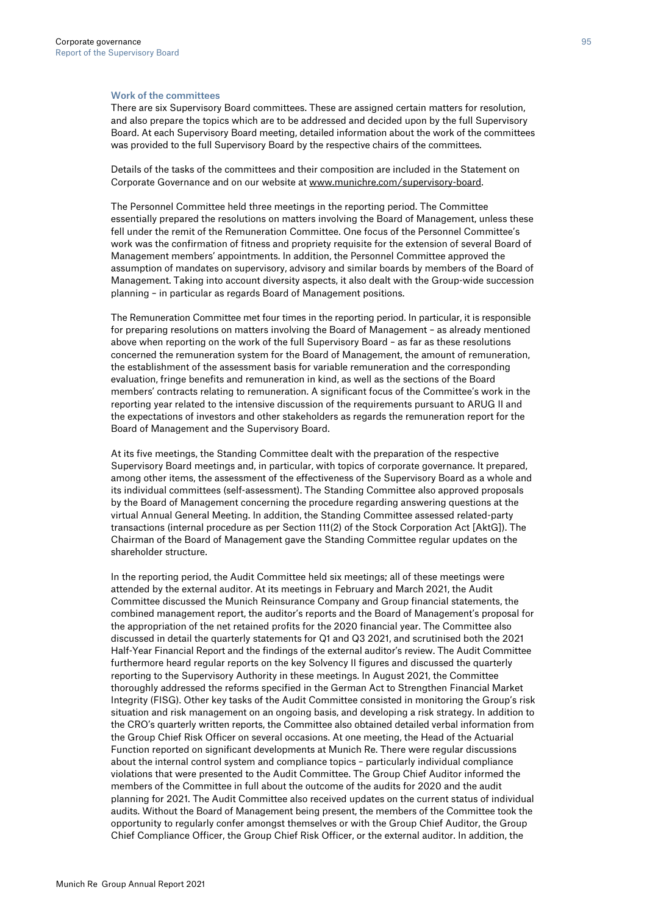#### Work of the committees

There are six Supervisory Board committees. These are assigned certain matters for resolution, and also prepare the topics which are to be addressed and decided upon by the full Supervisory Board. At each Supervisory Board meeting, detailed information about the work of the committees was provided to the full Supervisory Board by the respective chairs of the committees.

Details of the tasks of the committees and their composition are included in the Statement on Corporate Governance and on our website at www.munichre.com/supervisory-board.

The Personnel Committee held three meetings in the reporting period. The Committee essentially prepared the resolutions on matters involving the Board of Management, unless these fell under the remit of the Remuneration Committee. One focus of the Personnel Committee's work was the confirmation of fitness and propriety requisite for the extension of several Board of Management members' appointments. In addition, the Personnel Committee approved the assumption of mandates on supervisory, advisory and similar boards by members of the Board of Management. Taking into account diversity aspects, it also dealt with the Group-wide succession planning – in particular as regards Board of Management positions.

The Remuneration Committee met four times in the reporting period. In particular, it is responsible for preparing resolutions on matters involving the Board of Management – as already mentioned above when reporting on the work of the full Supervisory Board – as far as these resolutions concerned the remuneration system for the Board of Management, the amount of remuneration, the establishment of the assessment basis for variable remuneration and the corresponding evaluation, fringe benefits and remuneration in kind, as well as the sections of the Board members' contracts relating to remuneration. A significant focus of the Committee's work in the reporting year related to the intensive discussion of the requirements pursuant to ARUG II and the expectations of investors and other stakeholders as regards the remuneration report for the Board of Management and the Supervisory Board.

At its five meetings, the Standing Committee dealt with the preparation of the respective Supervisory Board meetings and, in particular, with topics of corporate governance. It prepared, among other items, the assessment of the effectiveness of the Supervisory Board as a whole and its individual committees (self-assessment). The Standing Committee also approved proposals by the Board of Management concerning the procedure regarding answering questions at the virtual Annual General Meeting. In addition, the Standing Committee assessed related-party transactions (internal procedure as per Section 111(2) of the Stock Corporation Act [AktG]). The Chairman of the Board of Management gave the Standing Committee regular updates on the shareholder structure.

In the reporting period, the Audit Committee held six meetings; all of these meetings were attended by the external auditor. At its meetings in February and March 2021, the Audit Committee discussed the Munich Reinsurance Company and Group financial statements, the combined management report, the auditor's reports and the Board of Management's proposal for the appropriation of the net retained profits for the 2020 financial year. The Committee also discussed in detail the quarterly statements for Q1 and Q3 2021, and scrutinised both the 2021 Half-Year Financial Report and the findings of the external auditor's review. The Audit Committee furthermore heard regular reports on the key Solvency II figures and discussed the quarterly reporting to the Supervisory Authority in these meetings. In August 2021, the Committee thoroughly addressed the reforms specified in the German Act to Strengthen Financial Market Integrity (FISG). Other key tasks of the Audit Committee consisted in monitoring the Group's risk situation and risk management on an ongoing basis, and developing a risk strategy. In addition to the CRO's quarterly written reports, the Committee also obtained detailed verbal information from the Group Chief Risk Officer on several occasions. At one meeting, the Head of the Actuarial Function reported on significant developments at Munich Re. There were regular discussions about the internal control system and compliance topics – particularly individual compliance violations that were presented to the Audit Committee. The Group Chief Auditor informed the members of the Committee in full about the outcome of the audits for 2020 and the audit planning for 2021. The Audit Committee also received updates on the current status of individual audits. Without the Board of Management being present, the members of the Committee took the opportunity to regularly confer amongst themselves or with the Group Chief Auditor, the Group Chief Compliance Officer, the Group Chief Risk Officer, or the external auditor. In addition, the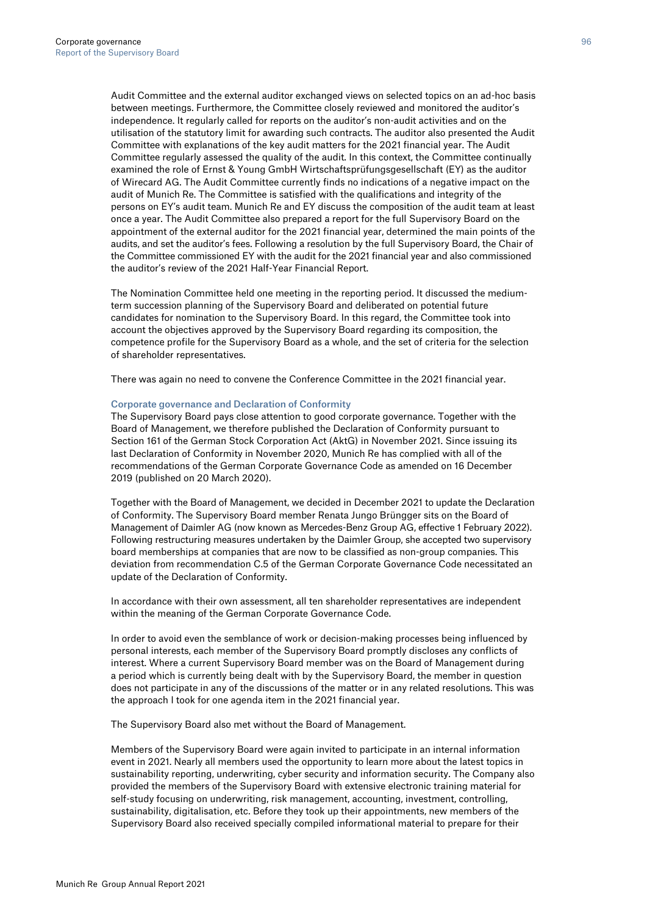Audit Committee and the external auditor exchanged views on selected topics on an ad-hoc basis between meetings. Furthermore, the Committee closely reviewed and monitored the auditor's independence. It regularly called for reports on the auditor's non-audit activities and on the utilisation of the statutory limit for awarding such contracts. The auditor also presented the Audit Committee with explanations of the key audit matters for the 2021 financial year. The Audit Committee regularly assessed the quality of the audit. In this context, the Committee continually examined the role of Ernst & Young GmbH Wirtschaftsprüfungsgesellschaft (EY) as the auditor of Wirecard AG. The Audit Committee currently finds no indications of a negative impact on the audit of Munich Re. The Committee is satisfied with the qualifications and integrity of the persons on EY's audit team. Munich Re and EY discuss the composition of the audit team at least once a year. The Audit Committee also prepared a report for the full Supervisory Board on the appointment of the external auditor for the 2021 financial year, determined the main points of the audits, and set the auditor's fees. Following a resolution by the full Supervisory Board, the Chair of the Committee commissioned EY with the audit for the 2021 financial year and also commissioned the auditor's review of the 2021 Half-Year Financial Report.

The Nomination Committee held one meeting in the reporting period. It discussed the mediumterm succession planning of the Supervisory Board and deliberated on potential future candidates for nomination to the Supervisory Board. In this regard, the Committee took into account the objectives approved by the Supervisory Board regarding its composition, the competence profile for the Supervisory Board as a whole, and the set of criteria for the selection of shareholder representatives.

There was again no need to convene the Conference Committee in the 2021 financial year.

#### Corporate governance and Declaration of Conformity

The Supervisory Board pays close attention to good corporate governance. Together with the Board of Management, we therefore published the Declaration of Conformity pursuant to Section 161 of the German Stock Corporation Act (AktG) in November 2021. Since issuing its last Declaration of Conformity in November 2020, Munich Re has complied with all of the recommendations of the German Corporate Governance Code as amended on 16 December 2019 (published on 20 March 2020).

Together with the Board of Management, we decided in December 2021 to update the Declaration of Conformity. The Supervisory Board member Renata Jungo Brüngger sits on the Board of Management of Daimler AG (now known as Mercedes-Benz Group AG, effective 1 February 2022). Following restructuring measures undertaken by the Daimler Group, she accepted two supervisory board memberships at companies that are now to be classified as non-group companies. This deviation from recommendation C.5 of the German Corporate Governance Code necessitated an update of the Declaration of Conformity.

In accordance with their own assessment, all ten shareholder representatives are independent within the meaning of the German Corporate Governance Code.

In order to avoid even the semblance of work or decision-making processes being influenced by personal interests, each member of the Supervisory Board promptly discloses any conflicts of interest. Where a current Supervisory Board member was on the Board of Management during a period which is currently being dealt with by the Supervisory Board, the member in question does not participate in any of the discussions of the matter or in any related resolutions. This was the approach I took for one agenda item in the 2021 financial year.

The Supervisory Board also met without the Board of Management.

Members of the Supervisory Board were again invited to participate in an internal information event in 2021. Nearly all members used the opportunity to learn more about the latest topics in sustainability reporting, underwriting, cyber security and information security. The Company also provided the members of the Supervisory Board with extensive electronic training material for self-study focusing on underwriting, risk management, accounting, investment, controlling, sustainability, digitalisation, etc. Before they took up their appointments, new members of the Supervisory Board also received specially compiled informational material to prepare for their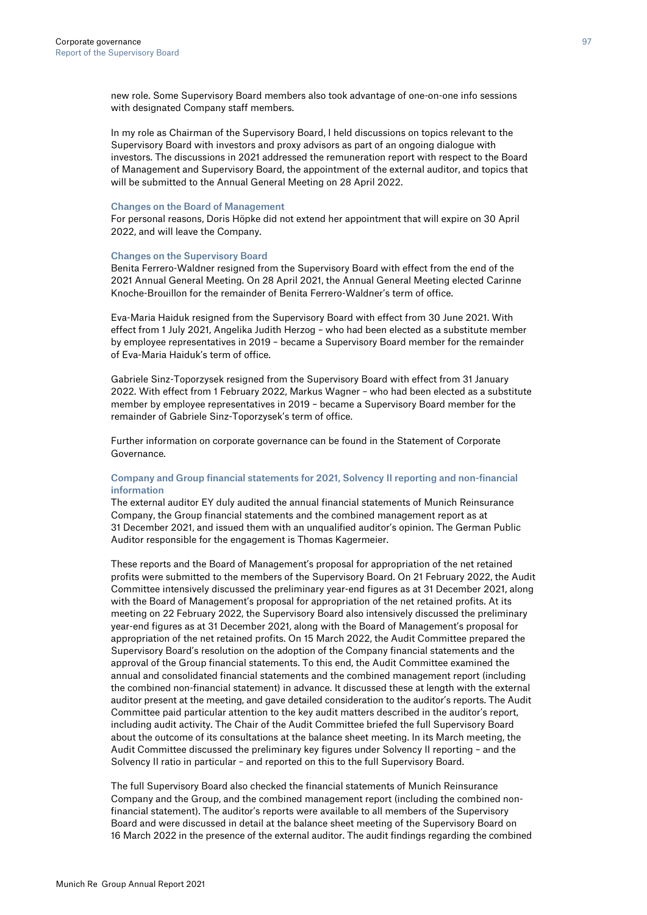new role. Some Supervisory Board members also took advantage of one-on-one info sessions with designated Company staff members.

In my role as Chairman of the Supervisory Board, I held discussions on topics relevant to the Supervisory Board with investors and proxy advisors as part of an ongoing dialogue with investors. The discussions in 2021 addressed the remuneration report with respect to the Board of Management and Supervisory Board, the appointment of the external auditor, and topics that will be submitted to the Annual General Meeting on 28 April 2022.

#### Changes on the Board of Management

For personal reasons, Doris Höpke did not extend her appointment that will expire on 30 April 2022, and will leave the Company.

#### Changes on the Supervisory Board

Benita Ferrero-Waldner resigned from the Supervisory Board with effect from the end of the 2021 Annual General Meeting. On 28 April 2021, the Annual General Meeting elected Carinne Knoche-Brouillon for the remainder of Benita Ferrero-Waldner's term of office.

Eva-Maria Haiduk resigned from the Supervisory Board with effect from 30 June 2021. With effect from 1 July 2021, Angelika Judith Herzog – who had been elected as a substitute member by employee representatives in 2019 – became a Supervisory Board member for the remainder of Eva-Maria Haiduk's term of office.

Gabriele Sinz-Toporzysek resigned from the Supervisory Board with effect from 31 January 2022. With effect from 1 February 2022, Markus Wagner – who had been elected as a substitute member by employee representatives in 2019 – became a Supervisory Board member for the remainder of Gabriele Sinz-Toporzysek's term of office.

Further information on corporate governance can be found in the Statement of Corporate Governance.

## Company and Group financial statements for 2021, Solvency II reporting and non-financial information

The external auditor EY duly audited the annual financial statements of Munich Reinsurance Company, the Group financial statements and the combined management report as at 31 December 2021, and issued them with an unqualified auditor's opinion. The German Public Auditor responsible for the engagement is Thomas Kagermeier.

These reports and the Board of Management's proposal for appropriation of the net retained profits were submitted to the members of the Supervisory Board. On 21 February 2022, the Audit Committee intensively discussed the preliminary year-end figures as at 31 December 2021, along with the Board of Management's proposal for appropriation of the net retained profits. At its meeting on 22 February 2022, the Supervisory Board also intensively discussed the preliminary year-end figures as at 31 December 2021, along with the Board of Management's proposal for appropriation of the net retained profits. On 15 March 2022, the Audit Committee prepared the Supervisory Board's resolution on the adoption of the Company financial statements and the approval of the Group financial statements. To this end, the Audit Committee examined the annual and consolidated financial statements and the combined management report (including the combined non-financial statement) in advance. It discussed these at length with the external auditor present at the meeting, and gave detailed consideration to the auditor's reports. The Audit Committee paid particular attention to the key audit matters described in the auditor's report, including audit activity. The Chair of the Audit Committee briefed the full Supervisory Board about the outcome of its consultations at the balance sheet meeting. In its March meeting, the Audit Committee discussed the preliminary key figures under Solvency II reporting – and the Solvency II ratio in particular – and reported on this to the full Supervisory Board.

The full Supervisory Board also checked the financial statements of Munich Reinsurance Company and the Group, and the combined management report (including the combined nonfinancial statement). The auditor's reports were available to all members of the Supervisory Board and were discussed in detail at the balance sheet meeting of the Supervisory Board on 16 March 2022 in the presence of the external auditor. The audit findings regarding the combined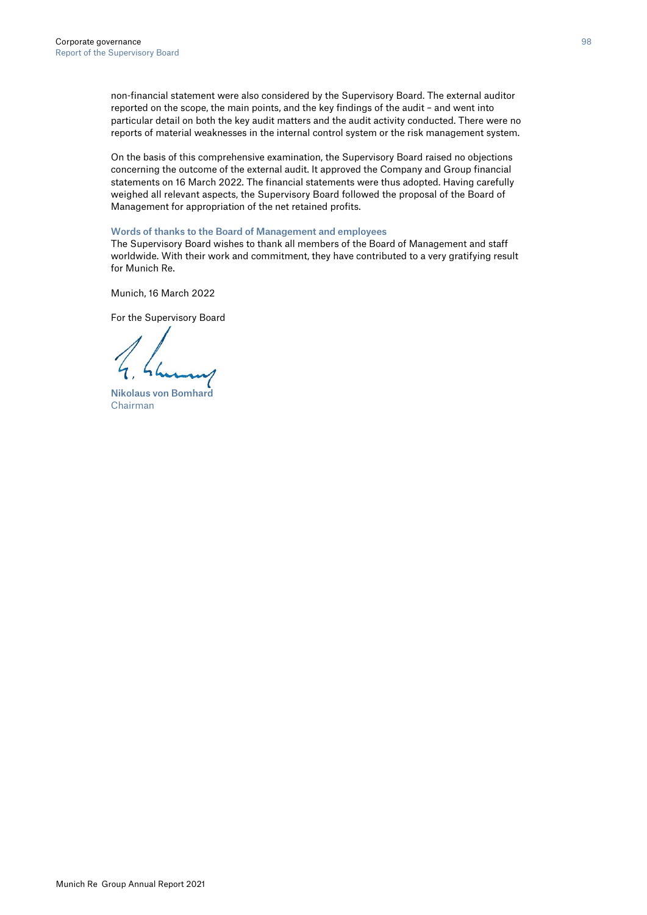non-financial statement were also considered by the Supervisory Board. The external auditor reported on the scope, the main points, and the key findings of the audit – and went into particular detail on both the key audit matters and the audit activity conducted. There were no reports of material weaknesses in the internal control system or the risk management system.

On the basis of this comprehensive examination, the Supervisory Board raised no objections concerning the outcome of the external audit. It approved the Company and Group financial statements on 16 March 2022. The financial statements were thus adopted. Having carefully weighed all relevant aspects, the Supervisory Board followed the proposal of the Board of Management for appropriation of the net retained profits.

### Words of thanks to the Board of Management and employees

The Supervisory Board wishes to thank all members of the Board of Management and staff worldwide. With their work and commitment, they have contributed to a very gratifying result for Munich Re.

Munich, 16 March 2022

For the Supervisory Board

Nikolaus von Bomhard Chairman